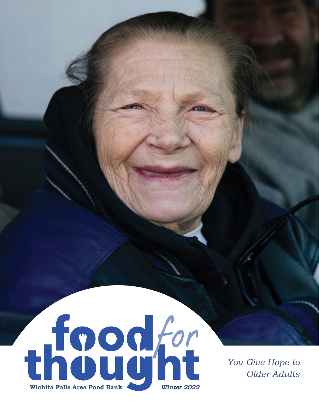

*You Give Hope to Older Adults*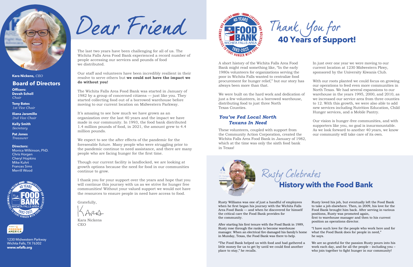The last two years have been challenging for all of us. The Wichita Falls Area Food Bank experienced a record number of people accessing our services and pounds of food we distributed.

Our staff and volunteers have been incredibly resilient in their resolve to serve others but **we could not have the impact we do without you!**

The Wichita Falls Area Food Bank was started in January of 1982 by a group of concerned citizens — just like you. They started collecting food out of a borrowed warehouse before moving to our current location on Midwestern Parkway.

It's amazing to see how much we have grown as an organization over the last 40 years and the impact we have made in our community. In 1993, the food bank distributed 1.4 million pounds of food, in 2021, the amount grew to 4.4 million pounds.

We expect to see the after effects of the pandemic for the foreseeable future. Many people who were struggling prior to the pandemic continue to need assistance, and there are many people who are facing hunger for the first time.

Though our current facility is landlocked, we are looking at growth options because the need for food in our communities continue to grow.

I thank you for your support over the years and hope that you will continue this journey with us as we strive for hunger free communities! Without your valued support we would not have the resources to ensure people in need have access to food.

Gratefully,

Kara Nickens CEO



A short history of the Wichita Falls Area Food Bank might read something like, "In the early 1980s volunteers for organizations serving the poor in Wichita Falls wanted to centralize food procurement for hunger relief," but our story has always been more than that.

We were built on the hard work and dedication of just a few volunteers, in a borrowed warehouse, distributing food to just three North Texas Counties.

## You've Fed Local North **Texans In Need**

These volunteers, coupled with support from the Community Action Corporation, created the Wichita Falls Area Food Bank in January of 1982, which at the time was only the sixth food bank in Texas!



In just over one year we were moving to our current location at 1230 Midwestern Pkwy, sponsored by the University Kiwanis Club.

With our roots planted we could focus on growing our operations to feed even more communities in North Texas. We had several expansions to our warehouse in the years 1995, 2000, and 2010, as we increased our service area from three counties to 12. With this growth, we were also able to add new services including Nutrition Education, Child Hunger services, and a Mobile Pantry.

Our vision is hunger-free communities, and with supporters like you, no goal is insurmountable. As we look forward to another 40 years, we know our community will take care of its own.

# **History with the Food Bank**

## **Board of Directors**

**Officers: Devah Scholl** *Chair*

**Tony Bates** *1st Vice Chair*

**Iliana Jaramillo**  *2nd Vice Chair*

**Kelly Smith**  *Secretary*

**Pat Jones** *Treasurer*

**Directors:** Monica Wilkinson, PhD.

Chris Horgen Cheryl Hopkins Mike Kuhrt Frances Sims Merrill Wood







**Kara Nickens,** *CEO*

Rusty Williams was one of just a handful of employees when he first began his journey with the Wichita Falls Area Food Bank — and when he discovered for himself the critical care the Food Bank provides for the community.

After starting his first tenure with the Food Bank in 1989, Rusty rose through the ranks to become warehouse manager. When an electrical fire damaged his family's home in Munday, Texas, the Food Bank was there to help.

"The Food Bank helped us with food and had gathered a little money for us to get by until we could find another place to stay," he recalls.

Thank You for<br>40 Years of Support!

Rusty loved his job, but eventually left the Food Bank to take a job elsewhere. Then, in 2009, his love for the Food Bank brought him back. After serving in various positions, Rusty was promoted again, first to warehouse manager and then to his current position as operations director.

- "I have such love for the people who work here and for what the Food Bank does for people in need," he says.
- We are so grateful for the passion Rusty pours into his work each day, and for all the people – including you – who join together to fight hunger in our community!

1230 Midwestern Parkway Wichita Falls, TX 76302 **www.wfafb.org**

Dear Friend